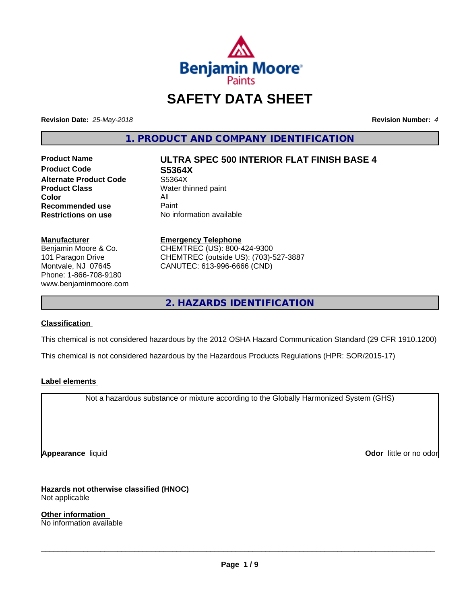

## **SAFETY DATA SHEET**

**Revision Date:** *25-May-2018* **Revision Number:** *4*

**1. PRODUCT AND COMPANY IDENTIFICATION**

**Product Code S5364X Alternate Product Code** S5364X<br> **Product Class** Water th **Color** All<br> **Recommended use** Paint **Recommended use**<br>Restrictions on use

# **Product Name ULTRA SPEC 500 INTERIOR FLAT FINISH BASE 4**

**Water thinned paint No information available** 

#### **Manufacturer**

Benjamin Moore & Co. 101 Paragon Drive Montvale, NJ 07645 Phone: 1-866-708-9180 www.benjaminmoore.com

#### **Emergency Telephone** CHEMTREC (US): 800-424-9300 CHEMTREC (outside US): (703)-527-3887 CANUTEC: 613-996-6666 (CND)

**2. HAZARDS IDENTIFICATION**

#### **Classification**

This chemical is not considered hazardous by the 2012 OSHA Hazard Communication Standard (29 CFR 1910.1200)

This chemical is not considered hazardous by the Hazardous Products Regulations (HPR: SOR/2015-17)

#### **Label elements**

Not a hazardous substance or mixture according to the Globally Harmonized System (GHS)

**Appearance** liquid **Odor in the original of the original of the original of the original of the original of the original of the original of the original of the original of the original of the original of the original of t** 

**Hazards not otherwise classified (HNOC)**

Not applicable

**Other information** No information available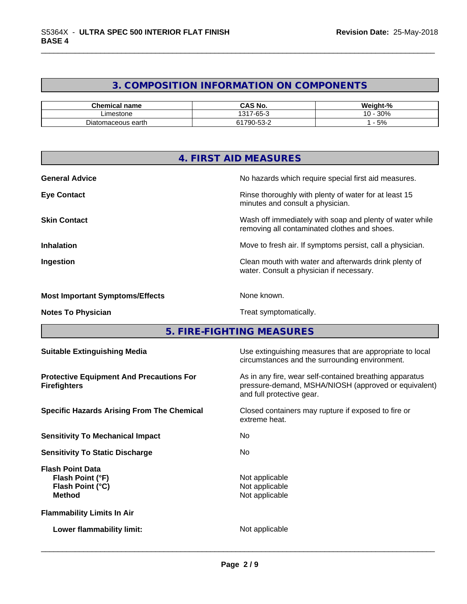### **3. COMPOSITION INFORMATION ON COMPONENTS**

| Chemical name        | <b>CAS No.</b>                              | $\mathbf{a}$<br><br>- 70                |
|----------------------|---------------------------------------------|-----------------------------------------|
| Limestone            | $\sim$<br>1311<br>$\sim$<br>-05-            | 30%<br>$\overline{\phantom{a}}$<br>∣U - |
| aceous earth<br>'nac | $\sim$ $\sim$<br>1700<br>′9C<br>$-22$<br>ັບ | 5%                                      |

|                                        | 4. FIRST AID MEASURES                                                                                    |
|----------------------------------------|----------------------------------------------------------------------------------------------------------|
| <b>General Advice</b>                  | No hazards which require special first aid measures.                                                     |
| <b>Eye Contact</b>                     | Rinse thoroughly with plenty of water for at least 15<br>minutes and consult a physician.                |
| <b>Skin Contact</b>                    | Wash off immediately with soap and plenty of water while<br>removing all contaminated clothes and shoes. |
| <b>Inhalation</b>                      | Move to fresh air. If symptoms persist, call a physician.                                                |
| Ingestion                              | Clean mouth with water and afterwards drink plenty of<br>water. Consult a physician if necessary.        |
| <b>Most Important Symptoms/Effects</b> | None known.                                                                                              |
| <b>Notes To Physician</b>              | Treat symptomatically.                                                                                   |
|                                        | 5. FIRE-FIGHTING MEASURES                                                                                |

**5. FIRE-FIGHTING MEASURES**

| <b>Suitable Extinguishing Media</b>                                              | Use extinguishing measures that are appropriate to local<br>circumstances and the surrounding environment.                                   |
|----------------------------------------------------------------------------------|----------------------------------------------------------------------------------------------------------------------------------------------|
| <b>Protective Equipment And Precautions For</b><br><b>Firefighters</b>           | As in any fire, wear self-contained breathing apparatus<br>pressure-demand, MSHA/NIOSH (approved or equivalent)<br>and full protective gear. |
| <b>Specific Hazards Arising From The Chemical</b>                                | Closed containers may rupture if exposed to fire or<br>extreme heat.                                                                         |
| <b>Sensitivity To Mechanical Impact</b>                                          | No.                                                                                                                                          |
| <b>Sensitivity To Static Discharge</b>                                           | No.                                                                                                                                          |
| <b>Flash Point Data</b><br>Flash Point (°F)<br>Flash Point (°C)<br><b>Method</b> | Not applicable<br>Not applicable<br>Not applicable                                                                                           |
| <b>Flammability Limits In Air</b>                                                |                                                                                                                                              |
| Lower flammability limit:                                                        | Not applicable                                                                                                                               |
|                                                                                  |                                                                                                                                              |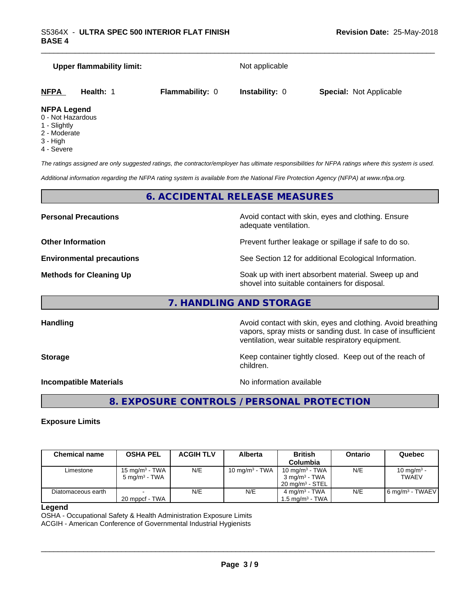|             | Upper flammability limit: |                        | Not applicable        |                                |  |
|-------------|---------------------------|------------------------|-----------------------|--------------------------------|--|
| <b>NFPA</b> | <b>Health: 1</b>          | <b>Flammability: 0</b> | <b>Instability: 0</b> | <b>Special: Not Applicable</b> |  |

#### **NFPA Legend**

- 0 Not Hazardous
- 1 Slightly
- 2 Moderate
- 3 High
- 4 Severe

*The ratings assigned are only suggested ratings, the contractor/employer has ultimate responsibilities for NFPA ratings where this system is used.*

*Additional information regarding the NFPA rating system is available from the National Fire Protection Agency (NFPA) at www.nfpa.org.*

#### **6. ACCIDENTAL RELEASE MEASURES**

**Personal Precautions Avoid contact with skin, eyes and clothing. Ensure** Avoid contact with skin, eyes and clothing. Ensure adequate ventilation.

**Other Information Department Information Department Intervent further leakage or spillage if safe to do so.** 

**Environmental precautions** See Section 12 for additional Ecological Information.

**Methods for Cleaning Up Example 20 Soak** up with inert absorbent material. Sweep up and shovel into suitable containers for disposal.

vapors, spray mists or sanding dust. In case of insufficient

**7. HANDLING AND STORAGE**

**Handling Handling Avoid contact with skin, eyes and clothing. Avoid breathing** 

**Storage Keep container tightly closed. Keep out of the reach of Keep Keep container tightly closed. Keep out of the reach of** children.

ventilation, wear suitable respiratory equipment.

**Incompatible Materials No information available** 

 $\overline{\phantom{a}}$  ,  $\overline{\phantom{a}}$  ,  $\overline{\phantom{a}}$  ,  $\overline{\phantom{a}}$  ,  $\overline{\phantom{a}}$  ,  $\overline{\phantom{a}}$  ,  $\overline{\phantom{a}}$  ,  $\overline{\phantom{a}}$  ,  $\overline{\phantom{a}}$  ,  $\overline{\phantom{a}}$  ,  $\overline{\phantom{a}}$  ,  $\overline{\phantom{a}}$  ,  $\overline{\phantom{a}}$  ,  $\overline{\phantom{a}}$  ,  $\overline{\phantom{a}}$  ,  $\overline{\phantom{a}}$ 

### **8. EXPOSURE CONTROLS / PERSONAL PROTECTION**

#### **Exposure Limits**

| <b>Chemical name</b> | <b>OSHA PEL</b>          | <b>ACGIH TLV</b> | <b>Alberta</b>    | <b>British</b><br>Columbia | Ontario | Quebec                        |
|----------------------|--------------------------|------------------|-------------------|----------------------------|---------|-------------------------------|
| Limestone            | 15 mg/m $3$ - TWA        | N/E              | 10 mg/m $3$ - TWA | 10 mg/m $3$ - TWA          | N/E     | 10 mg/m <sup>3</sup> -        |
|                      | $5 \text{ ma/m}^3$ - TWA |                  |                   | $3 \text{ ma/m}^3$ - TWA   |         | <b>TWAEV</b>                  |
|                      |                          |                  |                   | $20 \text{ ma/m}^3$ - STEL |         |                               |
| Diatomaceous earth   |                          | N/E              | N/E               | $4 \text{ ma/m}^3$ - TWA   | N/E     | 6 mg/m <sup>3</sup> - TWAEV I |
|                      | 20 mppcf - TWA           |                  |                   | 1.5 ma/m $^3$ - TWA $\,$ l |         |                               |

#### **Legend**

OSHA - Occupational Safety & Health Administration Exposure Limits ACGIH - American Conference of Governmental Industrial Hygienists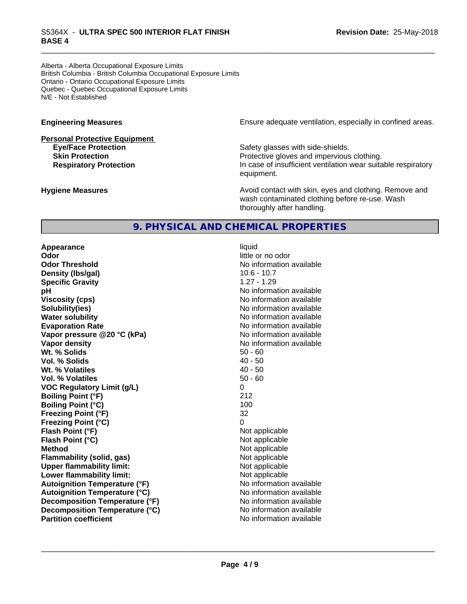Alberta - Alberta Occupational Exposure Limits British Columbia - British Columbia Occupational Exposure Limits Ontario - Ontario Occupational Exposure Limits Quebec - Quebec Occupational Exposure Limits N/E - Not Established

# **Personal Protective Equipment**

**Engineering Measures Engineering Measures Ensure adequate ventilation, especially in confined areas.** 

**Eye/Face Protection** Safety glasses with side-shields. **Skin Protection Protection Protective gloves and impervious clothing. Respiratory Protection In case of insufficient ventilation wear suitable respiratory** equipment.

**Hygiene Measures Avoid contact with skin, eyes and clothing. Remove and Avoid contact with skin, eyes and clothing. Remove and Avoid contact with skin, eyes and clothing. Remove and** wash contaminated clothing before re-use. Wash thoroughly after handling.

#### **9. PHYSICAL AND CHEMICAL PROPERTIES**

**Appearance** liquid **Odor** little or no odor **Odor Threshold** No information available **Density (lbs/gal)** 10.6 - 10.7 **Specific Gravity** 1.27 - 1.29 **pH pH**  $\blacksquare$ **Viscosity (cps)** No information available **Solubility(ies)** No information available **Water solubility** No information available **Evaporation Rate** No information available **Vapor pressure @20 °C (kPa)** No information available **Vapor density No information available No information available Wt. % Solids** 50 - 60<br> **Vol. % Solids** 50 - 60<br> **Vol. % Solids** 50 **Vol. % Solids** 40 - 50 Wt. % Volatiles **Vol. % Volatiles** 50 - 60 **VOC Regulatory Limit (g/L)** 0 **Boiling Point (°F)** 212 **Boiling Point (°C)** 100 **Freezing Point (°F)** 32 **Freezing Point (°C)** 0 **Flash Point (°F)**<br> **Flash Point (°C)**<br> **Flash Point (°C)**<br> **Not** applicable<br>
Not applicable **Flash Point (°C) Method** Not applicable **Flammability (solid, gas)**<br> **Commability limit:**<br>
Upper flammability limit:<br>
Not applicable **Upper flammability limit:**<br> **Lower flammability limit:** Not applicable Not applicable **Lower flammability limit: Autoignition Temperature (°F)**<br> **Autoignition Temperature (°C)**<br> **Autoignition Temperature (°C)**<br> **Autoignition Temperature (°C)**<br> **Autoignition Temperature (°C) Autoignition Temperature (°C) Decomposition Temperature** (°F) No information available **Decomposition Temperature (°C)** No information available<br> **Partition coefficient Partition available Partition coefficient**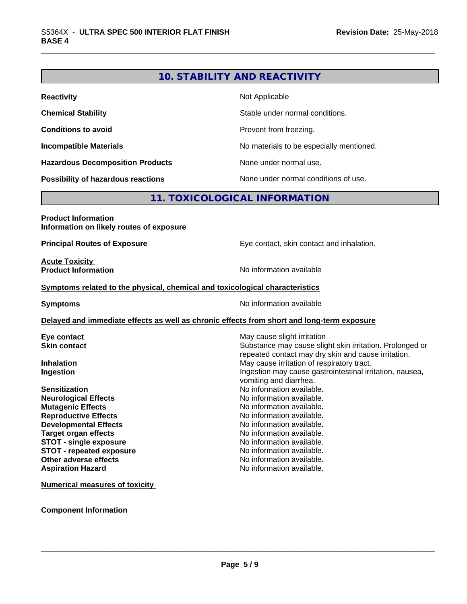#### **10. STABILITY AND REACTIVITY**

| <b>Reactivity</b>                       | Not Applicable                           |
|-----------------------------------------|------------------------------------------|
| <b>Chemical Stability</b>               | Stable under normal conditions.          |
| <b>Conditions to avoid</b>              | Prevent from freezing.                   |
| <b>Incompatible Materials</b>           | No materials to be especially mentioned. |
| <b>Hazardous Decomposition Products</b> | None under normal use.                   |
| Possibility of hazardous reactions      | None under normal conditions of use.     |

#### **11. TOXICOLOGICAL INFORMATION**

#### **Product Information Information on likely routes of exposure**

**Principal Routes of Exposure Exposure** Eye contact, skin contact and inhalation.

**Acute Toxicity** 

**Product Information** 

#### **Symptoms** related to the physical, chemical and toxicological characteristics

**Symptoms** No information available

#### **Delayed and immediate effects as well as chronic effects from short and long-term exposure**

| Eye contact                     | May cause slight irritation                                                                                     |
|---------------------------------|-----------------------------------------------------------------------------------------------------------------|
| <b>Skin contact</b>             | Substance may cause slight skin irritation. Prolonged or<br>repeated contact may dry skin and cause irritation. |
| <b>Inhalation</b>               | May cause irritation of respiratory tract.                                                                      |
|                                 |                                                                                                                 |
| Ingestion                       | Ingestion may cause gastrointestinal irritation, nausea,<br>vomiting and diarrhea.                              |
| <b>Sensitization</b>            | No information available.                                                                                       |
| <b>Neurological Effects</b>     | No information available.                                                                                       |
| <b>Mutagenic Effects</b>        | No information available.                                                                                       |
| <b>Reproductive Effects</b>     | No information available.                                                                                       |
| <b>Developmental Effects</b>    | No information available.                                                                                       |
| Target organ effects            | No information available.                                                                                       |
| <b>STOT - single exposure</b>   | No information available.                                                                                       |
| <b>STOT - repeated exposure</b> | No information available.                                                                                       |
| Other adverse effects           | No information available.                                                                                       |
| <b>Aspiration Hazard</b>        | No information available.                                                                                       |
|                                 |                                                                                                                 |

**Numerical measures of toxicity**

#### **Component Information**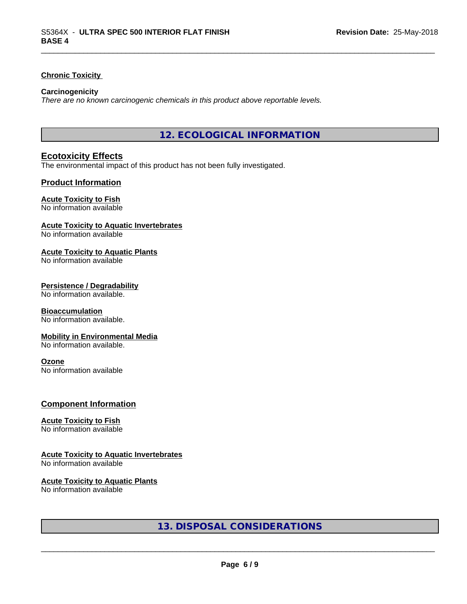#### **Chronic Toxicity**

#### **Carcinogenicity**

*There are no known carcinogenic chemicals in this product above reportable levels.*

**12. ECOLOGICAL INFORMATION**

#### **Ecotoxicity Effects**

The environmental impact of this product has not been fully investigated.

#### **Product Information**

#### **Acute Toxicity to Fish**

No information available

#### **Acute Toxicity to Aquatic Invertebrates**

No information available

#### **Acute Toxicity to Aquatic Plants**

No information available

#### **Persistence / Degradability**

No information available.

#### **Bioaccumulation**

No information available.

#### **Mobility in Environmental Media**

No information available.

#### **Ozone**

No information available

#### **Component Information**

#### **Acute Toxicity to Fish**

No information available

#### **Acute Toxicity to Aquatic Invertebrates**

No information available

#### **Acute Toxicity to Aquatic Plants**

No information available

#### **13. DISPOSAL CONSIDERATIONS**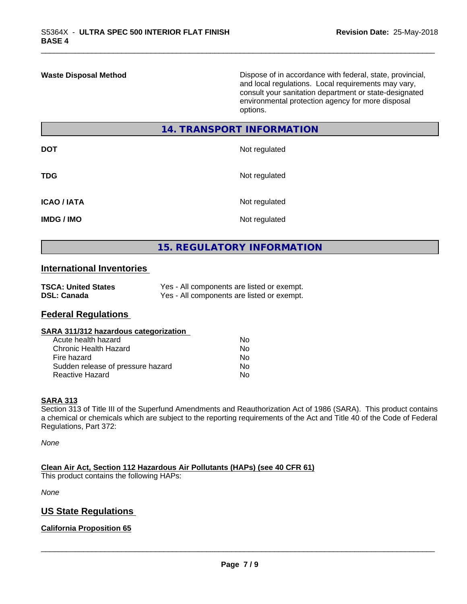**Waste Disposal Method** Dispose of in accordance with federal, state, provincial, and local regulations. Local requirements may vary, consult your sanitation department or state-designated environmental protection agency for more disposal options.

#### **14. TRANSPORT INFORMATION**

| <b>DOT</b>         | Not regulated |
|--------------------|---------------|
| <b>TDG</b>         | Not regulated |
| <b>ICAO / IATA</b> | Not regulated |
| <b>IMDG / IMO</b>  | Not regulated |

#### **15. REGULATORY INFORMATION**

#### **International Inventories**

| <b>TSCA: United States</b> | Yes - All components are listed or exempt. |
|----------------------------|--------------------------------------------|
| <b>DSL: Canada</b>         | Yes - All components are listed or exempt. |

#### **Federal Regulations**

#### **SARA 311/312 hazardous categorization**

| Acute health hazard               | N٥ |
|-----------------------------------|----|
| Chronic Health Hazard             | N٥ |
| Fire hazard                       | N٥ |
| Sudden release of pressure hazard | N٥ |
| Reactive Hazard                   | N٥ |

#### **SARA 313**

Section 313 of Title III of the Superfund Amendments and Reauthorization Act of 1986 (SARA). This product contains a chemical or chemicals which are subject to the reporting requirements of the Act and Title 40 of the Code of Federal Regulations, Part 372:

*None*

**Clean Air Act,Section 112 Hazardous Air Pollutants (HAPs) (see 40 CFR 61)**

This product contains the following HAPs:

*None*

#### **US State Regulations**

#### **California Proposition 65**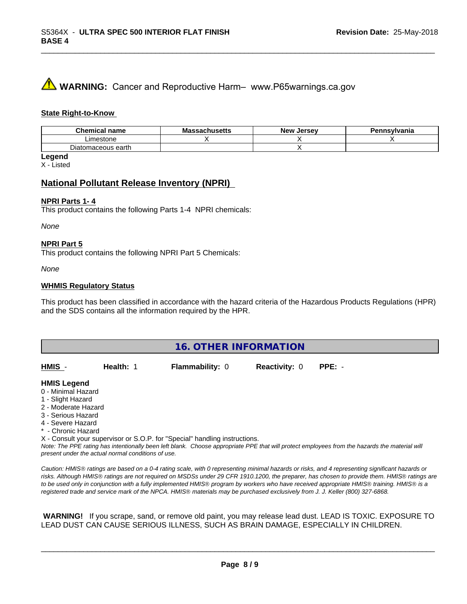## **A** WARNING: Cancer and Reproductive Harm– www.P65warnings.ca.gov

#### **State Right-to-Know**

| Chemi<br>name<br>$\sim$ nich | IVIC<br>www.cus | <b>Jerse</b> y<br><b>Nev</b> | svlvania |
|------------------------------|-----------------|------------------------------|----------|
| Limestone                    |                 |                              |          |
| Diatomaceous earth           |                 |                              |          |

**Legend**

X - Listed

#### **National Pollutant Release Inventory (NPRI)**

#### **NPRI Parts 1- 4**

This product contains the following Parts 1-4 NPRI chemicals:

*None*

#### **NPRI Part 5**

This product contains the following NPRI Part 5 Chemicals:

*None*

#### **WHMIS Regulatory Status**

This product has been classified in accordance with the hazard criteria of the Hazardous Products Regulations (HPR) and the SDS contains all the information required by the HPR.

| <b>16. OTHER INFORMATION</b>                                                                                                                          |           |                                                                            |                      |                                                                                                                                               |  |
|-------------------------------------------------------------------------------------------------------------------------------------------------------|-----------|----------------------------------------------------------------------------|----------------------|-----------------------------------------------------------------------------------------------------------------------------------------------|--|
| HMIS -                                                                                                                                                | Health: 1 | <b>Flammability: 0</b>                                                     | <b>Reactivity: 0</b> | $PPE: -$                                                                                                                                      |  |
| <b>HMIS Legend</b><br>0 - Minimal Hazard<br>1 - Slight Hazard<br>2 - Moderate Hazard<br>3 - Serious Hazard<br>4 - Severe Hazard<br>* - Chronic Hazard |           | X - Consult your supervisor or S.O.P. for "Special" handling instructions. |                      | Note: The PPE rating has intentionally been left blank. Choose appropriate PPE that will protect employees from the hazards the material will |  |

*Caution: HMISÒ ratings are based on a 0-4 rating scale, with 0 representing minimal hazards or risks, and 4 representing significant hazards or risks. Although HMISÒ ratings are not required on MSDSs under 29 CFR 1910.1200, the preparer, has chosen to provide them. HMISÒ ratings are to be used only in conjunction with a fully implemented HMISÒ program by workers who have received appropriate HMISÒ training. HMISÒ is a registered trade and service mark of the NPCA. HMISÒ materials may be purchased exclusively from J. J. Keller (800) 327-6868.*

 **WARNING!** If you scrape, sand, or remove old paint, you may release lead dust. LEAD IS TOXIC. EXPOSURE TO LEAD DUST CAN CAUSE SERIOUS ILLNESS, SUCH AS BRAIN DAMAGE, ESPECIALLY IN CHILDREN.